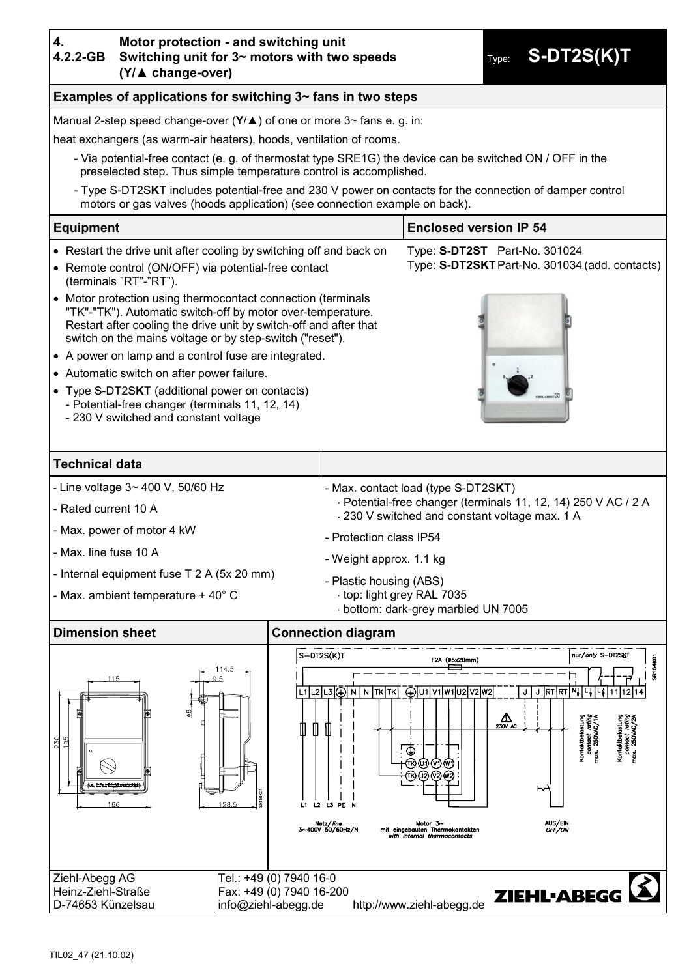# **4.**

#### **4.2.2-GB Motor protection - and switching unit Switching unit for 3~ motors with two speeds (Y/▲ change-over)**

Type: **S-DT2S(K)T**

## **Examples of applications for switching 3~ fans in two steps**

Manual 2-step speed change-over (**Y**/▲) of one or more 3~ fans e. g. in:

heat exchangers (as warm-air heaters), hoods, ventilation of rooms.

- Via potential-free contact (e. g. of thermostat type SRE1G) the device can be switched ON / OFF in the preselected step. Thus simple temperature control is accomplished.
- Type S-DT2S**K**T includes potential-free and 230 V power on contacts for the connection of damper control motors or gas valves (hoods application) (see connection example on back).

### **Equipment Enclosed version IP 54**

- Restart the drive unit after cooling by switching off and back on
- Remote control (ON/OFF) via potential-free contact (terminals "RT"-"RT").
- Motor protection using thermocontact connection (terminals "TK"-"TK"). Automatic switch-off by motor over-temperature. Restart after cooling the drive unit by switch-off and after that switch on the mains voltage or by step-switch ("reset").
- A power on lamp and a control fuse are integrated.
- Automatic switch on after power failure.
- Type S-DT2S**K**T (additional power on contacts) - Potential-free changer (terminals 11, 12, 14)
	- 230 V switched and constant voltage

# - Max. contact load (type S-DT2S**K**T)

Potential-free changer (terminals 11, 12, 14) 250 V AC / 2 A

Type: **S-DT2ST** Part-No. 301024

Type: **S-DT2SKT**Part-No. 301034 (add. contacts)

230 V switched and constant voltage max. 1 A

- Max. power of motor 4 kW

- Line voltage 3~ 400 V, 50/60 Hz

- Max. line fuse 10 A

- Rated current 10 A

**Technical data**

- Internal equipment fuse T 2 A (5x 20 mm)
- Max. ambient temperature + 40° C
- Protection class IP54
- Weight approx. 1.1 kg
- Plastic housing (ABS)
- top: light grey RAL 7035
	- bottom: dark-grey marbled UN 7005